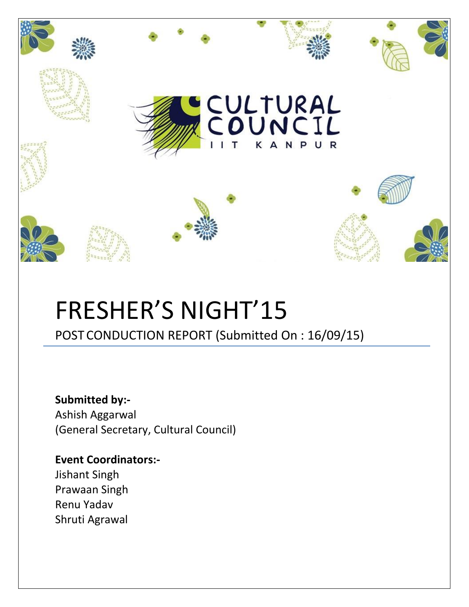

# FRESHER'S NIGHT'15

POST CONDUCTION REPORT (Submitted On : 16/09/15)

**Submitted by:-** Ashish Aggarwal (General Secretary, Cultural Council)

**Event Coordinators:-** Jishant Singh Prawaan Singh Renu Yadav Shruti Agrawal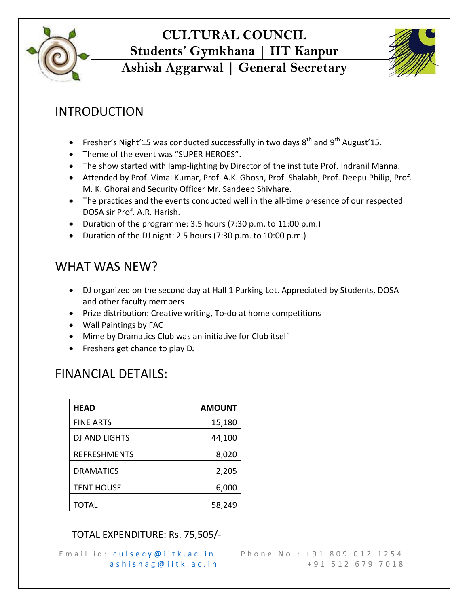

## **CULTURAL COUNCIL Students' Gymkhana | IIT Kanpur**



### **Ashish Aggarwal | General Secretary**

#### INTRODUCTION

- Fresher's Night'15 was conducted successfully in two days  $8<sup>th</sup>$  and  $9<sup>th</sup>$  August'15.
- Theme of the event was "SUPER HEROES".
- The show started with lamp-lighting by Director of the institute Prof. Indranil Manna.
- Attended by Prof. Vimal Kumar, Prof. A.K. Ghosh, Prof. Shalabh, Prof. Deepu Philip, Prof. M. K. Ghorai and Security Officer Mr. Sandeep Shivhare.
- The practices and the events conducted well in the all-time presence of our respected DOSA sir Prof. A.R. Harish.
- Duration of the programme: 3.5 hours (7:30 p.m. to 11:00 p.m.)
- Duration of the DJ night: 2.5 hours (7:30 p.m. to 10:00 p.m.)

#### WHAT WAS NEW?

- DJ organized on the second day at Hall 1 Parking Lot. Appreciated by Students, DOSA and other faculty members
- Prize distribution: Creative writing, To-do at home competitions
- Wall Paintings by FAC
- Mime by Dramatics Club was an initiative for Club itself
- Freshers get chance to play DJ

#### FINANCIAL DETAILS:

| <b>HEAD</b>          | <b>AMOUNT</b> |
|----------------------|---------------|
| <b>FINE ARTS</b>     | 15,180        |
| <b>DJ AND LIGHTS</b> | 44,100        |
| <b>REFRESHMENTS</b>  | 8,020         |
| <b>DRAMATICS</b>     | 2,205         |
| <b>TENT HOUSE</b>    | 6,000         |
| <b>TOTAL</b>         | 58,249        |

#### TOTAL EXPENDITURE: Rs. 75,505/-

E m a i l i d : c u l s e c y @ i i t k . a c . i n P h o n e N o . : + 9 1 8 0 9 0 1 2 1 2 5 4